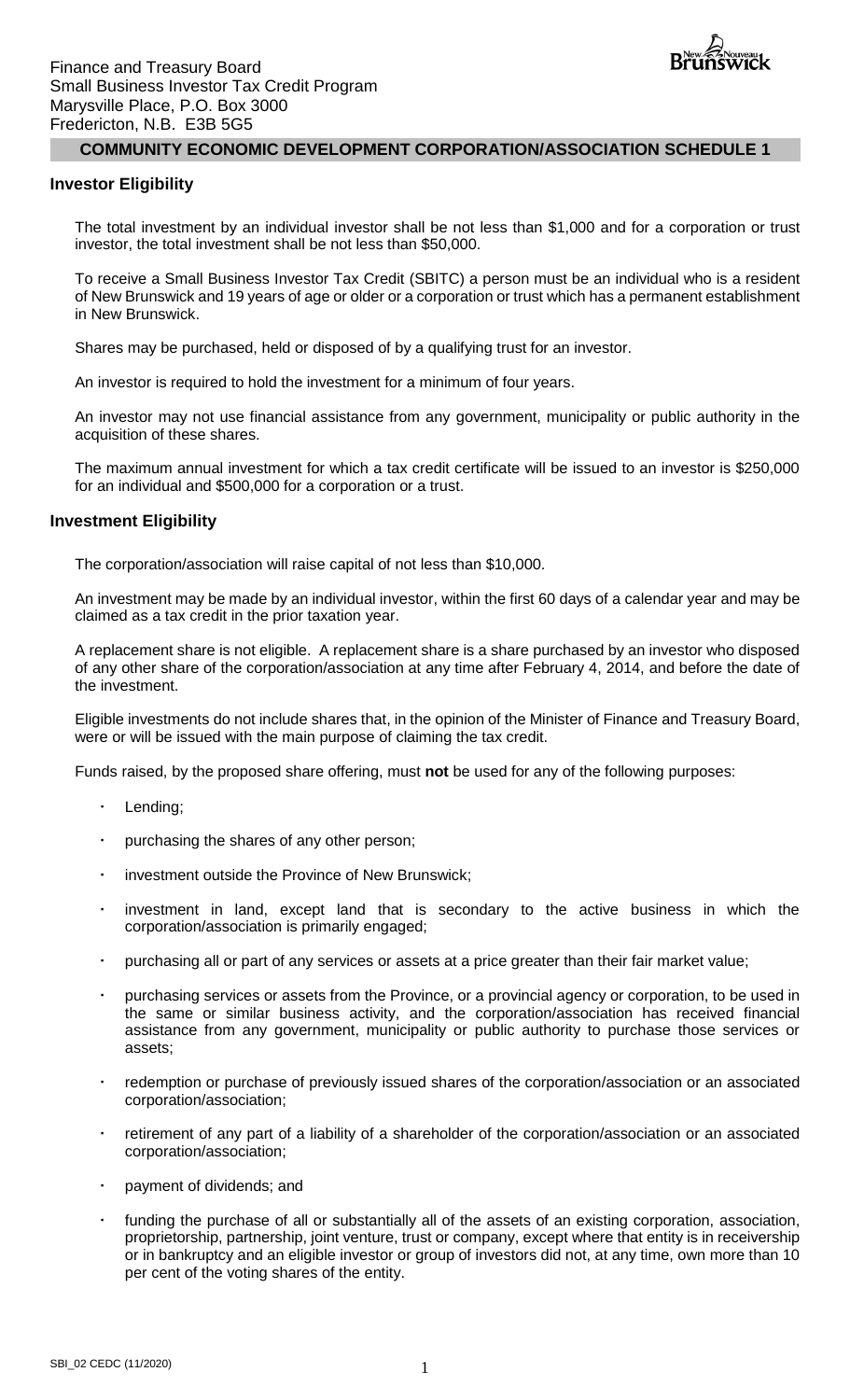

#### **Investor Eligibility**

The total investment by an individual investor shall be not less than \$1,000 and for a corporation or trust investor, the total investment shall be not less than \$50,000.

To receive a Small Business Investor Tax Credit (SBITC) a person must be an individual who is a resident of New Brunswick and 19 years of age or older or a corporation or trust which has a permanent establishment in New Brunswick.

Shares may be purchased, held or disposed of by a qualifying trust for an investor.

An investor is required to hold the investment for a minimum of four years.

An investor may not use financial assistance from any government, municipality or public authority in the acquisition of these shares.

The maximum annual investment for which a tax credit certificate will be issued to an investor is \$250,000 for an individual and \$500,000 for a corporation or a trust.

#### **Investment Eligibility**

The corporation/association will raise capital of not less than \$10,000.

An investment may be made by an individual investor, within the first 60 days of a calendar year and may be claimed as a tax credit in the prior taxation year.

A replacement share is not eligible. A replacement share is a share purchased by an investor who disposed of any other share of the corporation/association at any time after February 4, 2014, and before the date of the investment.

Eligible investments do not include shares that, in the opinion of the Minister of Finance and Treasury Board, were or will be issued with the main purpose of claiming the tax credit.

Funds raised, by the proposed share offering, must **not** be used for any of the following purposes:

- Lending;
- purchasing the shares of any other person;
- investment outside the Province of New Brunswick;
- investment in land, except land that is secondary to the active business in which the corporation/association is primarily engaged;
- purchasing all or part of any services or assets at a price greater than their fair market value;
- purchasing services or assets from the Province, or a provincial agency or corporation, to be used in the same or similar business activity, and the corporation/association has received financial assistance from any government, municipality or public authority to purchase those services or assets;
- redemption or purchase of previously issued shares of the corporation/association or an associated corporation/association;
- retirement of any part of a liability of a shareholder of the corporation/association or an associated corporation/association;
- payment of dividends; and
- funding the purchase of all or substantially all of the assets of an existing corporation, association, proprietorship, partnership, joint venture, trust or company, except where that entity is in receivership or in bankruptcy and an eligible investor or group of investors did not, at any time, own more than 10 per cent of the voting shares of the entity.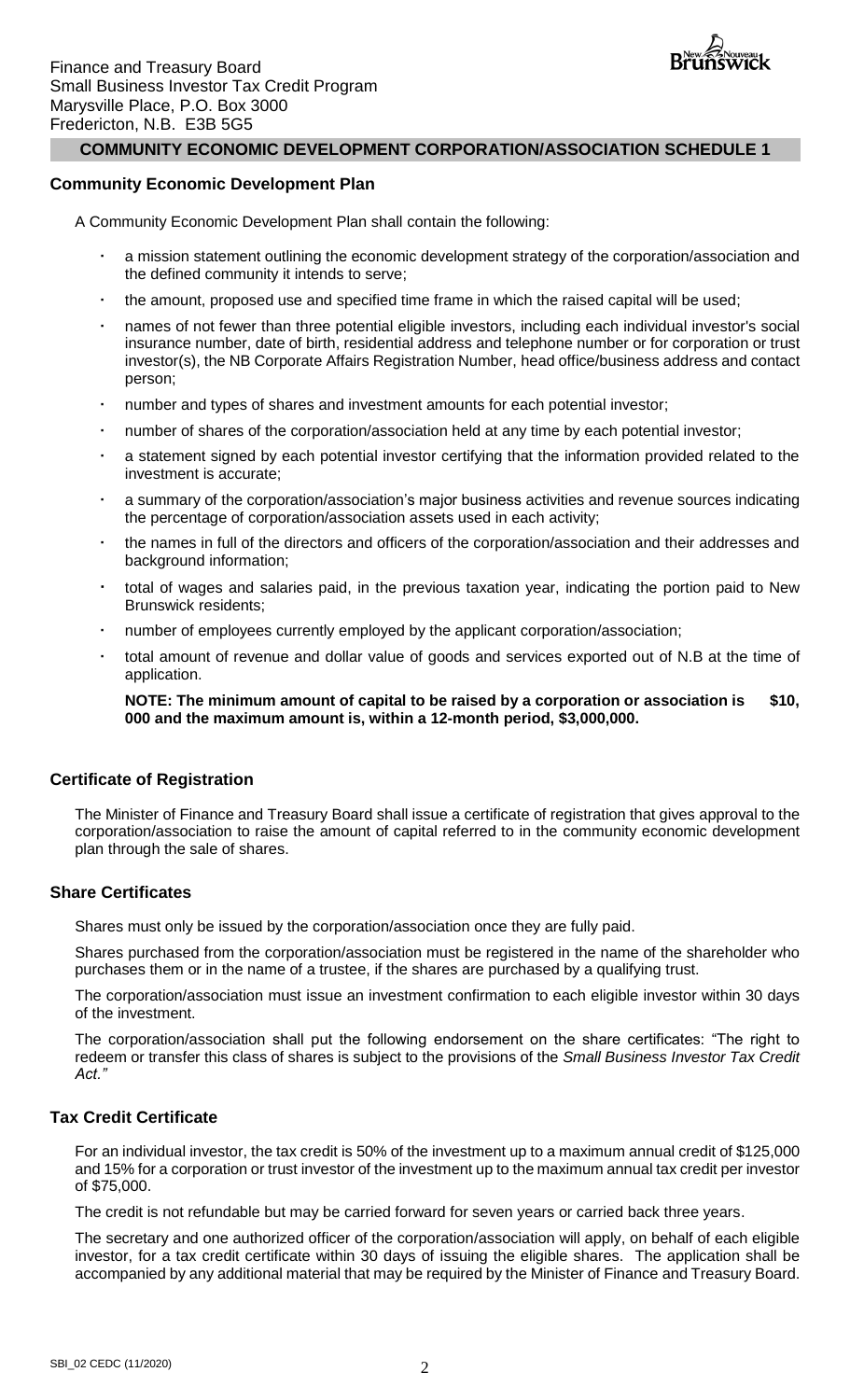

#### **Community Economic Development Plan**

A Community Economic Development Plan shall contain the following:

- a mission statement outlining the economic development strategy of the corporation/association and the defined community it intends to serve;
- the amount, proposed use and specified time frame in which the raised capital will be used;
- names of not fewer than three potential eligible investors, including each individual investor's social insurance number, date of birth, residential address and telephone number or for corporation or trust investor(s), the NB Corporate Affairs Registration Number, head office/business address and contact person;
- number and types of shares and investment amounts for each potential investor;
- number of shares of the corporation/association held at any time by each potential investor;
- a statement signed by each potential investor certifying that the information provided related to the investment is accurate;
- a summary of the corporation/association's major business activities and revenue sources indicating the percentage of corporation/association assets used in each activity;
- the names in full of the directors and officers of the corporation/association and their addresses and background information;
- total of wages and salaries paid, in the previous taxation year, indicating the portion paid to New Brunswick residents;
- number of employees currently employed by the applicant corporation/association;
- total amount of revenue and dollar value of goods and services exported out of N.B at the time of application.

**NOTE:** The minimum amount of capital to be raised by a corporation or association is \$10, **000 and the maximum amount is, within a 12-month period, \$3,000,000.**

#### **Certificate of Registration**

The Minister of Finance and Treasury Board shall issue a certificate of registration that gives approval to the corporation/association to raise the amount of capital referred to in the community economic development plan through the sale of shares.

#### **Share Certificates**

Shares must only be issued by the corporation/association once they are fully paid.

Shares purchased from the corporation/association must be registered in the name of the shareholder who purchases them or in the name of a trustee, if the shares are purchased by a qualifying trust.

The corporation/association must issue an investment confirmation to each eligible investor within 30 days of the investment.

The corporation/association shall put the following endorsement on the share certificates: "The right to redeem or transfer this class of shares is subject to the provisions of the *Small Business Investor Tax Credit Act."*

#### **Tax Credit Certificate**

For an individual investor, the tax credit is 50% of the investment up to a maximum annual credit of \$125,000 and 15% for a corporation or trust investor of the investment up to the maximum annual tax credit per investor of \$75,000.

The credit is not refundable but may be carried forward for seven years or carried back three years.

The secretary and one authorized officer of the corporation/association will apply, on behalf of each eligible investor, for a tax credit certificate within 30 days of issuing the eligible shares. The application shall be accompanied by any additional material that may be required by the Minister of Finance and Treasury Board.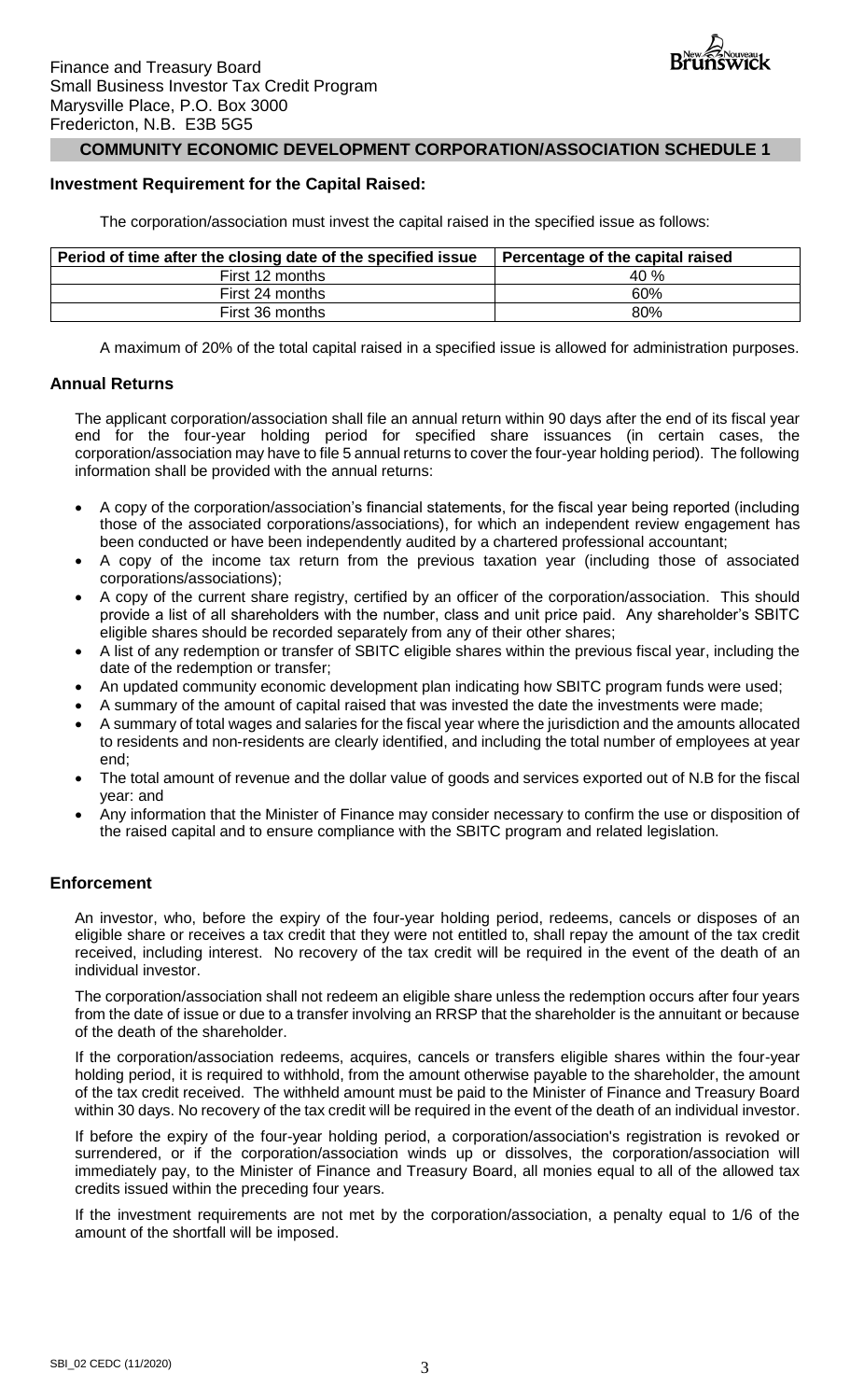### **Investment Requirement for the Capital Raised:**

The corporation/association must invest the capital raised in the specified issue as follows:

| Period of time after the closing date of the specified issue | Percentage of the capital raised |
|--------------------------------------------------------------|----------------------------------|
| First 12 months                                              | 40 %                             |
| First 24 months                                              | 60%                              |
| First 36 months                                              | 80%                              |

A maximum of 20% of the total capital raised in a specified issue is allowed for administration purposes.

### **Annual Returns**

The applicant corporation/association shall file an annual return within 90 days after the end of its fiscal year end for the four-year holding period for specified share issuances (in certain cases, the corporation/association may have to file 5 annual returns to cover the four-year holding period). The following information shall be provided with the annual returns:

- A copy of the corporation/association's financial statements, for the fiscal year being reported (including those of the associated corporations/associations), for which an independent review engagement has been conducted or have been independently audited by a chartered professional accountant;
- A copy of the income tax return from the previous taxation year (including those of associated corporations/associations);
- A copy of the current share registry, certified by an officer of the corporation/association. This should provide a list of all shareholders with the number, class and unit price paid. Any shareholder's SBITC eligible shares should be recorded separately from any of their other shares;
- A list of any redemption or transfer of SBITC eligible shares within the previous fiscal year, including the date of the redemption or transfer;
- An updated community economic development plan indicating how SBITC program funds were used;
- A summary of the amount of capital raised that was invested the date the investments were made;
- A summary of total wages and salaries for the fiscal year where the jurisdiction and the amounts allocated to residents and non-residents are clearly identified, and including the total number of employees at year end;
- The total amount of revenue and the dollar value of goods and services exported out of N.B for the fiscal year: and
- Any information that the Minister of Finance may consider necessary to confirm the use or disposition of the raised capital and to ensure compliance with the SBITC program and related legislation.

## **Enforcement**

An investor, who, before the expiry of the four-year holding period, redeems, cancels or disposes of an eligible share or receives a tax credit that they were not entitled to, shall repay the amount of the tax credit received, including interest. No recovery of the tax credit will be required in the event of the death of an individual investor.

The corporation/association shall not redeem an eligible share unless the redemption occurs after four years from the date of issue or due to a transfer involving an RRSP that the shareholder is the annuitant or because of the death of the shareholder.

If the corporation/association redeems, acquires, cancels or transfers eligible shares within the four-year holding period, it is required to withhold, from the amount otherwise payable to the shareholder, the amount of the tax credit received. The withheld amount must be paid to the Minister of Finance and Treasury Board within 30 days. No recovery of the tax credit will be required in the event of the death of an individual investor.

If before the expiry of the four-year holding period, a corporation/association's registration is revoked or surrendered, or if the corporation/association winds up or dissolves, the corporation/association will immediately pay, to the Minister of Finance and Treasury Board, all monies equal to all of the allowed tax credits issued within the preceding four years.

If the investment requirements are not met by the corporation/association, a penalty equal to 1/6 of the amount of the shortfall will be imposed.